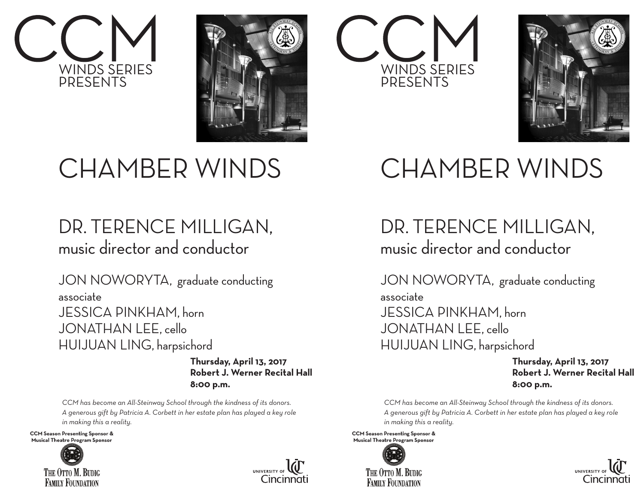



### WINDS SERIES PRESENTS



### CHAMBER WINDS

#### DR. TERENCE MILLIGAN, music director and conductor

JON NOWORYTA, graduate conducting associate JESSICA PINKHAM, horn JONATHAN LEE, cello HUIJUAN LING, harpsichord

> **Thursday, April 13, 2017 Robert J. Werner Recital Hall 8:00 p.m.**

*CCM has become an All-Steinway School through the kindness of its donors. A generous gift by Patricia A. Corbett in her estate plan has played a key role in making this a reality.*

**CCM Season Presenting Sponsor &** Musical Theatre Program Sponsor





#### CHAMBER WINDS

DR. TERENCE MILLIGAN, music director and conductor

JON NOWORYTA, graduate conducting associate JESSICA PINKHAM, horn JONATHAN LEE, cello HUIJUAN LING, harpsichord

> **Thursday, April 13, 2017 Robert J. Werner Recital Hall 8:00 p.m.**

*CCM has become an All-Steinway School through the kindness of its donors. A generous gift by Patricia A. Corbett in her estate plan has played a key role in making this a reality.*

**CCM Season Presenting Sponsor &** Musical Theatre Program Sponsor